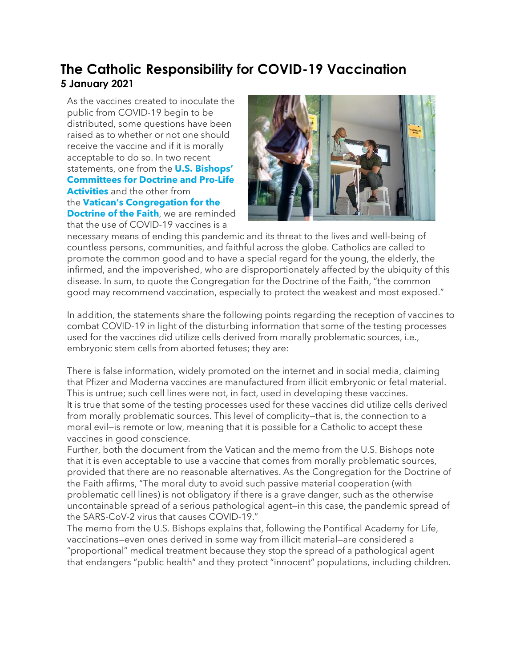## **The Catholic Responsibility for COVID-19 Vaccination 5 January 2021**

As the vaccines created to inoculate the public from COVID-19 begin to be distributed, some questions have been raised as to whether or not one should receive the vaccine and if it is morally acceptable to do so. In two recent statements, one from the **U.S. [Bishops'](https://urldefense.com/v3/__http:/www.ne16.com/t/2690759/40442673/2833841/0/1002399/?f5d63f87=MDEwNzIxJTIwQ09WSUQlMjBTYWZldHklMjBVcGRhdGU&x=9fc716f1__;!!DUogwUQ!ViThfloIfXLWvRhr6Q8NuS8gNXmXYyVX5_i9WDl0r5yyJzYk3ygQIMGM3TaE39kh$) [Committees](https://urldefense.com/v3/__http:/www.ne16.com/t/2690759/40442673/2833841/0/1002399/?f5d63f87=MDEwNzIxJTIwQ09WSUQlMjBTYWZldHklMjBVcGRhdGU&x=9fc716f1__;!!DUogwUQ!ViThfloIfXLWvRhr6Q8NuS8gNXmXYyVX5_i9WDl0r5yyJzYk3ygQIMGM3TaE39kh$) for Doctrine and Pro-Life [Activities](https://urldefense.com/v3/__http:/www.ne16.com/t/2690759/40442673/2833841/0/1002399/?f5d63f87=MDEwNzIxJTIwQ09WSUQlMjBTYWZldHklMjBVcGRhdGU&x=9fc716f1__;!!DUogwUQ!ViThfloIfXLWvRhr6Q8NuS8gNXmXYyVX5_i9WDl0r5yyJzYk3ygQIMGM3TaE39kh$)** and the other from the **Vatican's [Congregation](https://urldefense.com/v3/__http:/www.ne16.com/t/2690759/40442673/2833842/0/1002399/?f5d63f87=MDEwNzIxJTIwQ09WSUQlMjBTYWZldHklMjBVcGRhdGU&x=42b725a3__;!!DUogwUQ!ViThfloIfXLWvRhr6Q8NuS8gNXmXYyVX5_i9WDl0r5yyJzYk3ygQIMGM3aA5TzhP$) for the [Doctrine](https://urldefense.com/v3/__http:/www.ne16.com/t/2690759/40442673/2833842/0/1002399/?f5d63f87=MDEwNzIxJTIwQ09WSUQlMjBTYWZldHklMjBVcGRhdGU&x=42b725a3__;!!DUogwUQ!ViThfloIfXLWvRhr6Q8NuS8gNXmXYyVX5_i9WDl0r5yyJzYk3ygQIMGM3aA5TzhP$) of the Faith**, we are reminded that the use of COVID-19 vaccines is a



necessary means of ending this pandemic and its threat to the lives and well-being of countless persons, communities, and faithful across the globe. Catholics are called to promote the common good and to have a special regard for the young, the elderly, the infirmed, and the impoverished, who are disproportionately affected by the ubiquity of this disease. In sum, to quote the Congregation for the Doctrine of the Faith, "the common good may recommend vaccination, especially to protect the weakest and most exposed."

In addition, the statements share the following points regarding the reception of vaccines to combat COVID-19 in light of the disturbing information that some of the testing processes used for the vaccines did utilize cells derived from morally problematic sources, i.e., embryonic stem cells from aborted fetuses; they are:

• There is false information, widely promoted on the internet and in social media, claiming that Pfizer and Moderna vaccines are manufactured from illicit embryonic or fetal material. This is untrue; such cell lines were not, in fact, used in developing these vaccines. It is true that some of the testing processes used for these vaccines did utilize cells derived from morally problematic sources. This level of complicity—that is, the connection to a moral evil—is remote or low, meaning that it is possible for a Catholic to accept these vaccines in good conscience.

• Further, both the document from the Vatican and the memo from the U.S. Bishops note that it is even acceptable to use a vaccine that comes from morally problematic sources, provided that there are no reasonable alternatives. As the Congregation for the Doctrine of the Faith affirms, "The moral duty to avoid such passive material cooperation (with problematic cell lines) is not obligatory if there is a grave danger, such as the otherwise uncontainable spread of a serious pathological agent—in this case, the pandemic spread of the SARS-CoV-2 virus that causes COVID-19."

The memo from the U.S. Bishops explains that, following the Pontifical Academy for Life, vaccinations—even ones derived in some way from illicit material—are considered a "proportional" medical treatment because they stop the spread of a pathological agent that endangers "public health" and they protect "innocent" populations, including children.